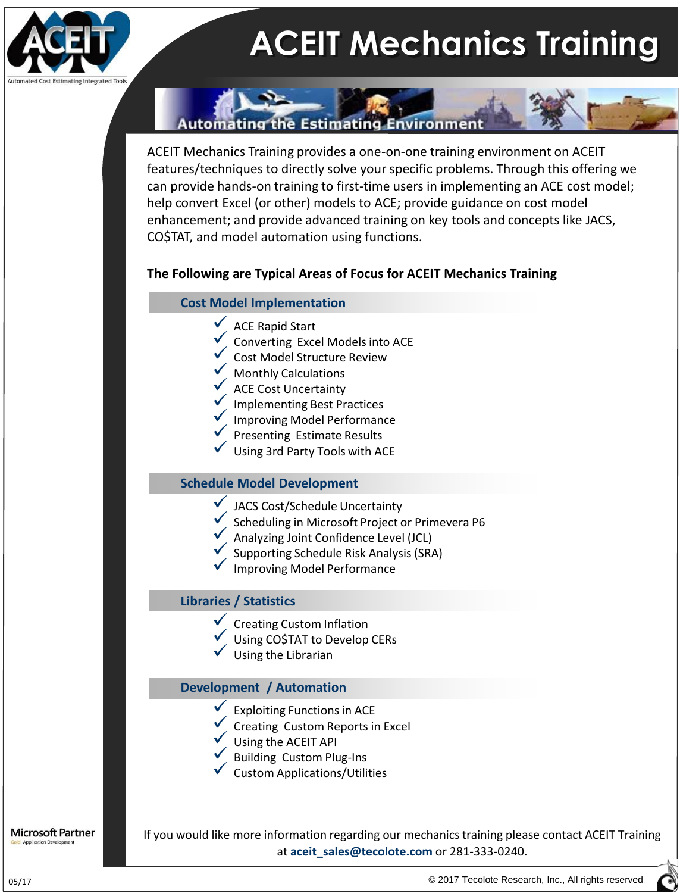

# **ACEIT Mechanics Training**

### **Automating the Estimating Environment**

ACEIT Mechanics Training provides a one-on-one training environment on ACEIT features/techniques to directly solve your specific problems. Through this offering we can provide hands-on training to first-time users in implementing an ACE cost model; help convert Excel (or other) models to ACE; provide guidance on cost model enhancement; and provide advanced training on key tools and concepts like JACS, CO\$TAT, and model automation using functions.

#### **The Following are Typical Areas of Focus for ACEIT Mechanics Training**

#### **Cost Model Implementation**

- $\sqrt{\phantom{a}}$  ACE Rapid Start
- Converting Excel Models into ACE
- Cost Model Structure Review
- Monthly Calculations
- ACE Cost Uncertainty
- Implementing Best Practices
- Improving Model Performance
- Presenting Estimate Results
- Using 3rd Party Tools with ACE

#### **Schedule Model Development**

- JACS Cost/Schedule Uncertainty
- Scheduling in Microsoft Project or Primevera P6
- Analyzing Joint Confidence Level (JCL)
- Supporting Schedule Risk Analysis (SRA)
- Improving Model Performance

#### **Libraries / Statistics**

- Creating Custom Inflation
- Using CO\$TAT to Develop CERs
- Using the Librarian

#### **Development / Automation**

- Exploiting Functions in ACE
- Creating Custom Reports in Excel
- Using the ACEIT API
- Building Custom Plug-Ins
- Custom Applications/Utilities

**Microsoft Partner** 

If you would like more information regarding our mechanics training please contact ACEIT Training at **aceit\_sales@tecolote.com** or 281-333-0240.